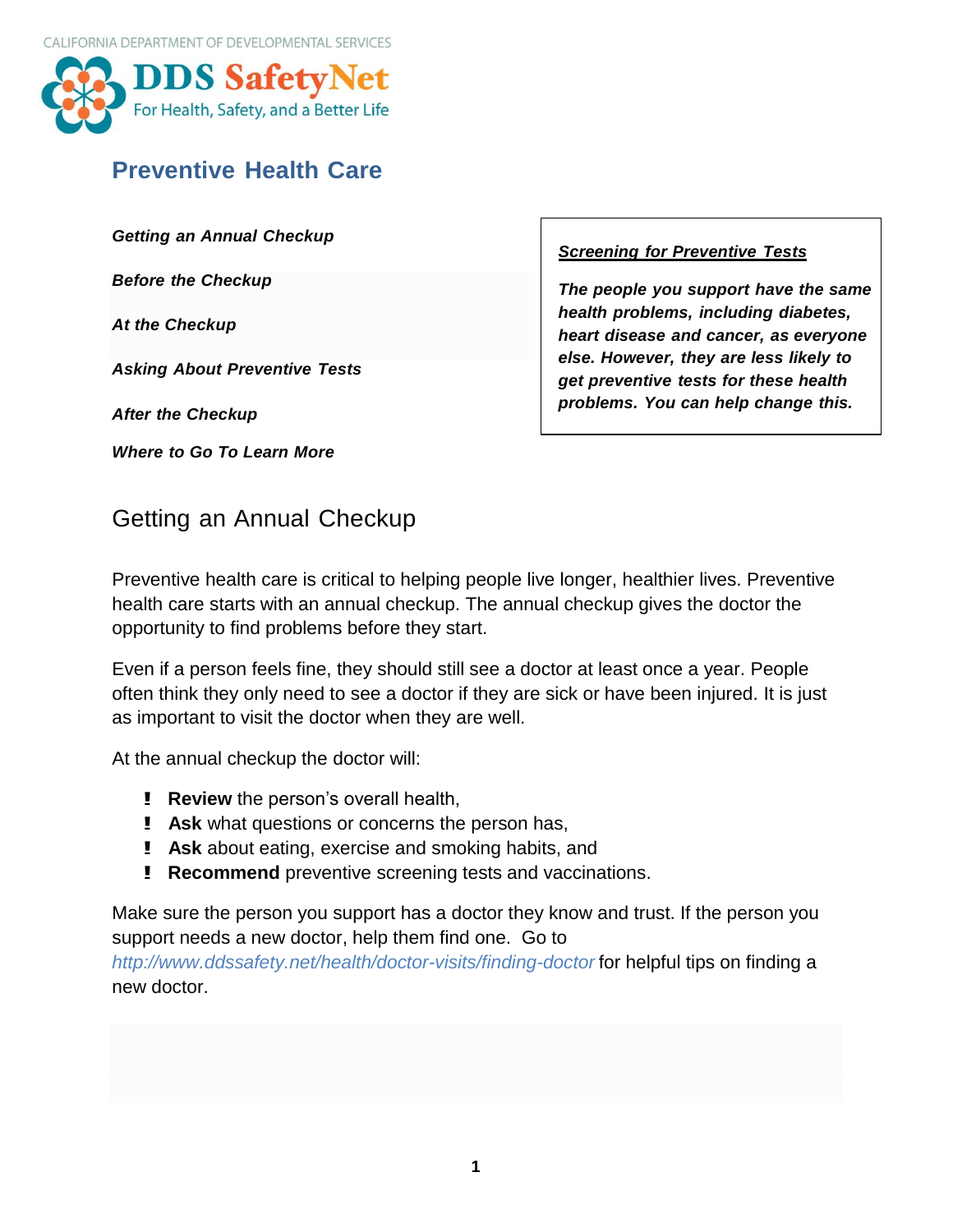

# **Preventive Health Care**

*Getting an Annual Checkup*

*Before the Checkup*

*At the Checkup*

*Asking About Preventive Tests*

*After the Checkup*

*Where to Go To Learn More*

*Screening for Preventive Tests*

*The people you support have the same health problems, including diabetes, heart disease and cancer, as everyone else. However, they are less likely to get preventive tests for these health problems. You can help change this.*

# Getting an Annual Checkup

Preventive health care is critical to helping people live longer, healthier lives. Preventive health care starts with an annual checkup. The annual checkup gives the doctor the opportunity to find problems before they start.

Even if a person feels fine, they should still see a doctor at least once a year. People often think they only need to see a doctor if they are sick or have been injured. It is just as important to visit the doctor when they are well.

At the annual checkup the doctor will:

- ! **Review** the person's overall health,
- ! **Ask** what questions or concerns the person has,
- ! **Ask** about eating, exercise and smoking habits, and
- ! **Recommend** preventive screening tests and vaccinations.

Make sure the person you support has a doctor they know and trust. If the person you support needs a new doctor, help them find one. Go to

*<http://www.ddssafety.net/health/doctor-visits/finding-doctor>* for helpful tips on finding a new doctor.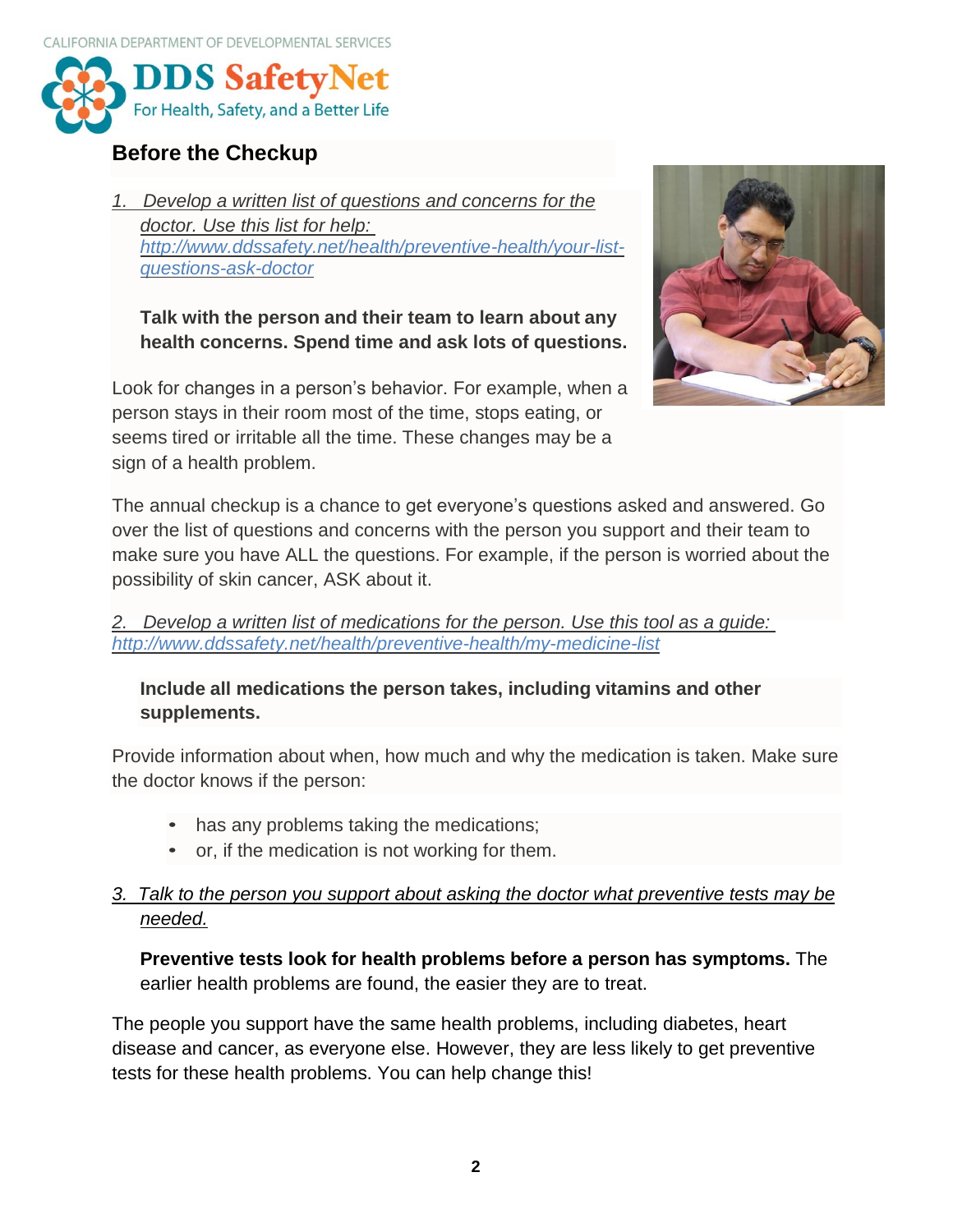

## **Before the Checkup**

*1. Develop a written list of questions and concerns for the doctor. Use this list for help: [http://www.ddssafety.net/health/preventive-health/your-list](http://www.ddssafety.net/health/preventive-health/your-list-questions-ask-doctor)[questions-ask-doctor](http://www.ddssafety.net/health/preventive-health/your-list-questions-ask-doctor)*

**Talk with the person and their team to learn about any health concerns. Spend time and ask lots of questions.**

Look for changes in a person's behavior. For example, when a person stays in their room most of the time, stops eating, or seems tired or irritable all the time. These changes may be a sign of a health problem.



The annual checkup is a chance to get everyone's questions asked and answered. Go over the list of questions and concerns with the person you support and their team to make sure you have ALL the questions. For example, if the person is worried about the possibility of skin cancer, ASK about it.

*2. Develop a written list of medications for the person. Use this tool as a guide: <http://www.ddssafety.net/health/preventive-health/my-medicine-list>*

## **Include all medications the person takes, including vitamins and other supplements.**

Provide information about when, how much and why the medication is taken. Make sure the doctor knows if the person:

- has any problems taking the medications;
- or, if the medication is not working for them.

## *3. Talk to the person you support about asking the doctor what preventive tests may be needed.*

**Preventive tests look for health problems before a person has symptoms.** The earlier health problems are found, the easier they are to treat.

The people you support have the same health problems, including diabetes, heart disease and cancer, as everyone else. However, they are less likely to get preventive tests for these health problems. You can help change this!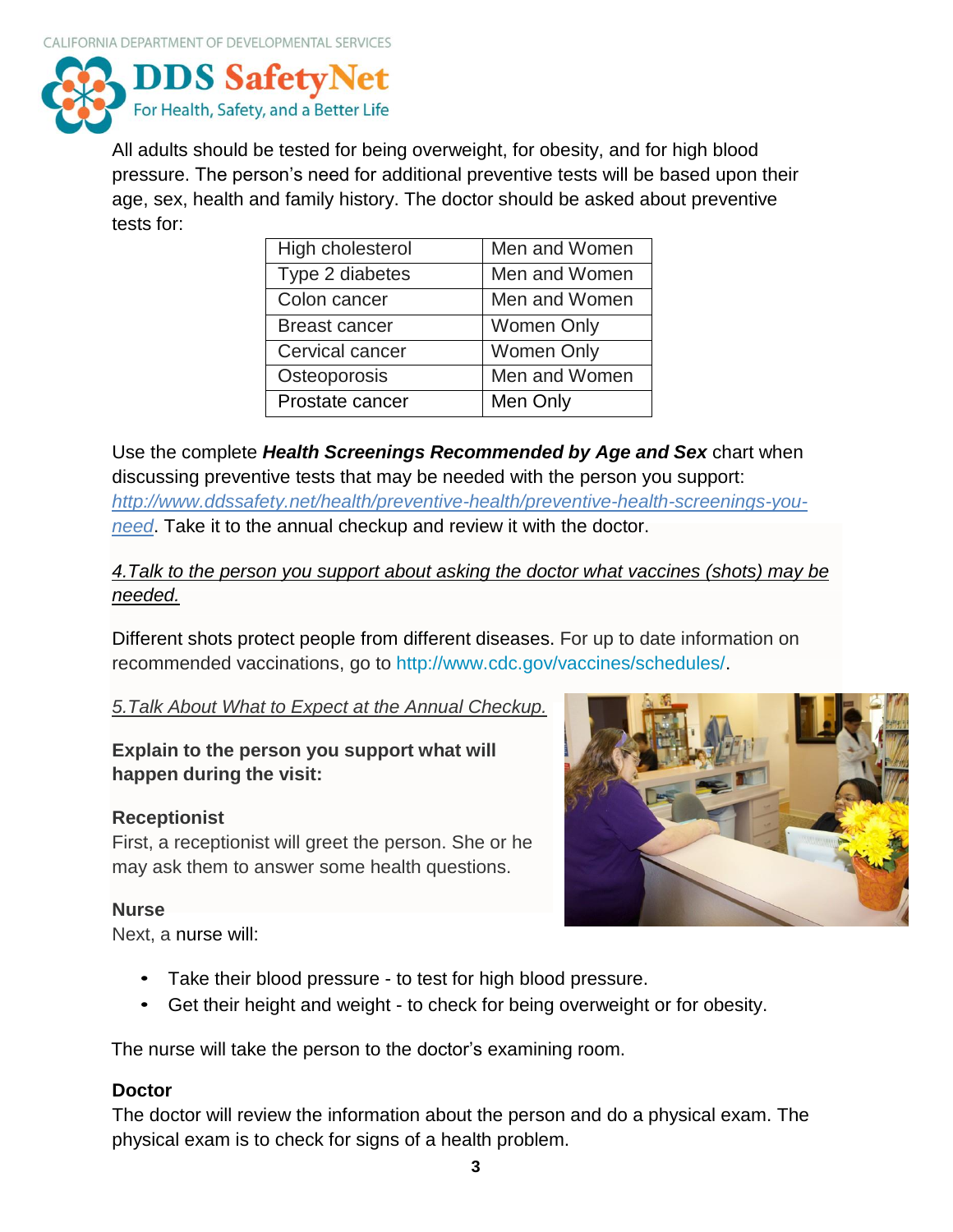

All adults should be tested for being overweight, for obesity, and for high blood pressure. The person's need for additional preventive tests will be based upon their age, sex, health and family history. The doctor should be asked about preventive tests for:

| High cholesterol     | Men and Women     |
|----------------------|-------------------|
| Type 2 diabetes      | Men and Women     |
| Colon cancer         | Men and Women     |
| <b>Breast cancer</b> | <b>Women Only</b> |
| Cervical cancer      | <b>Women Only</b> |
| Osteoporosis         | Men and Women     |
| Prostate cancer      | Men Only          |

Use the complete *Health Screenings Recommended by Age and Sex* chart when discussing preventive tests that may be needed with the person you support: *[http://www.ddssafety.net/health/preventive-health/preventive-health-screenings-you](http://www.ddssafety.net/health/preventive-health/preventive-health-screenings-you-need)[need](http://www.ddssafety.net/health/preventive-health/preventive-health-screenings-you-need)*. Take it to the annual checkup and review it with the doctor.

## *4.Talk to the person you support about asking the doctor what vaccines (shots) may be needed.*

Different shots protect people from different diseases. For up to date information on recommended vaccinations, go to [http://www.cdc.gov/vaccines/schedules/.](http://www.cdc.gov/vaccines/schedules/)

## *5.Talk About What to Expect at the Annual Checkup.*

## **Explain to the person you support what will happen during the visit:**

## **Receptionist**

First, a receptionist will greet the person. She or he may ask them to answer some health questions.

#### **Nurse**

Next, a nurse will:



- Take their blood pressure to test for high blood pressure.
- Get their height and weight to check for being overweight or for obesity.

The nurse will take the person to the doctor's examining room.

#### **Doctor**

The doctor will review the information about the person and do a physical exam. The physical exam is to check for signs of a health problem.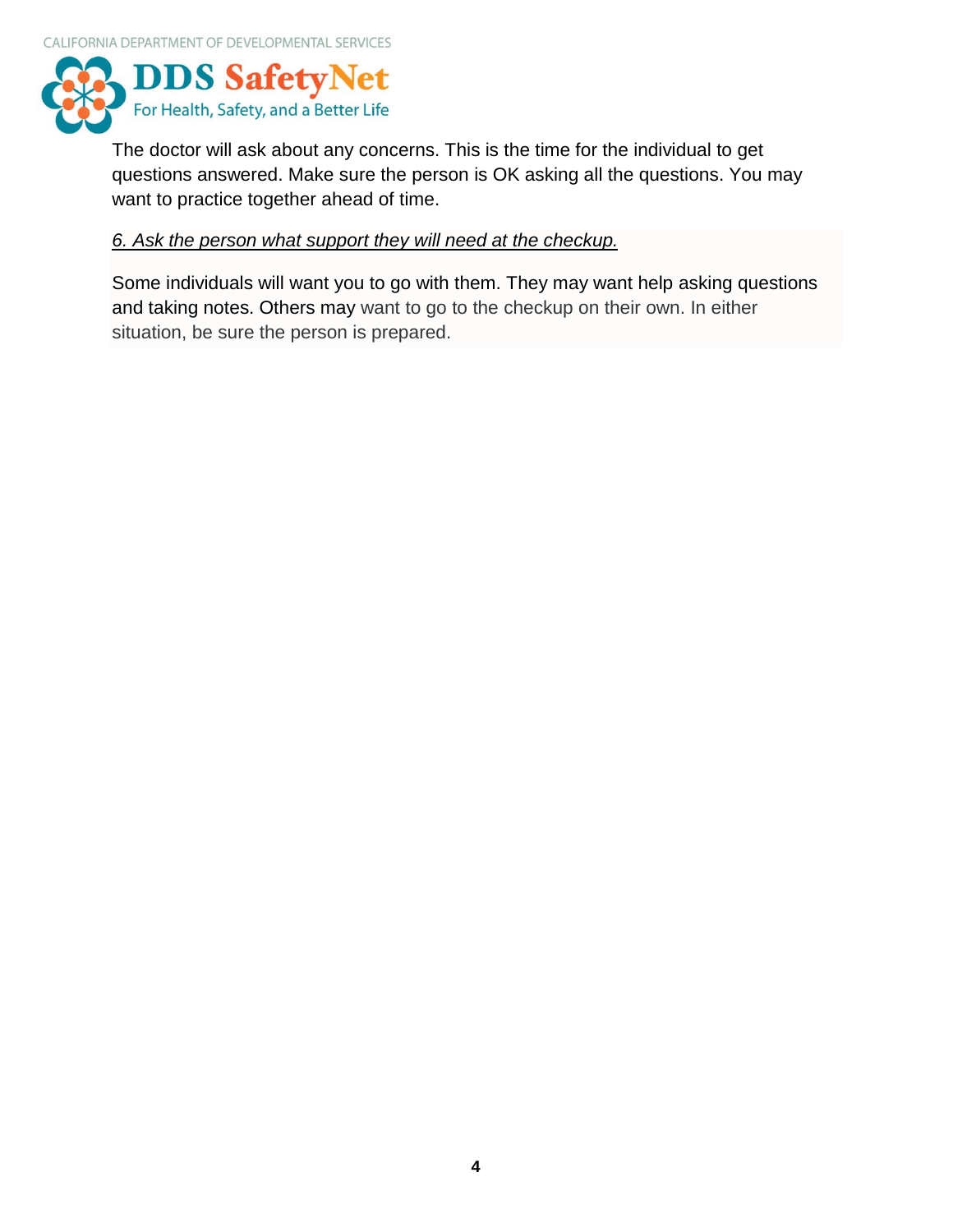

The doctor will ask about any concerns. This is the time for the individual to get questions answered. Make sure the person is OK asking all the questions. You may want to practice together ahead of time.

#### *6. Ask the person what support they will need at the checkup.*

Some individuals will want you to go with them. They may want help asking questions and taking notes. Others may want to go to the checkup on their own. In either situation, be sure the person is prepared.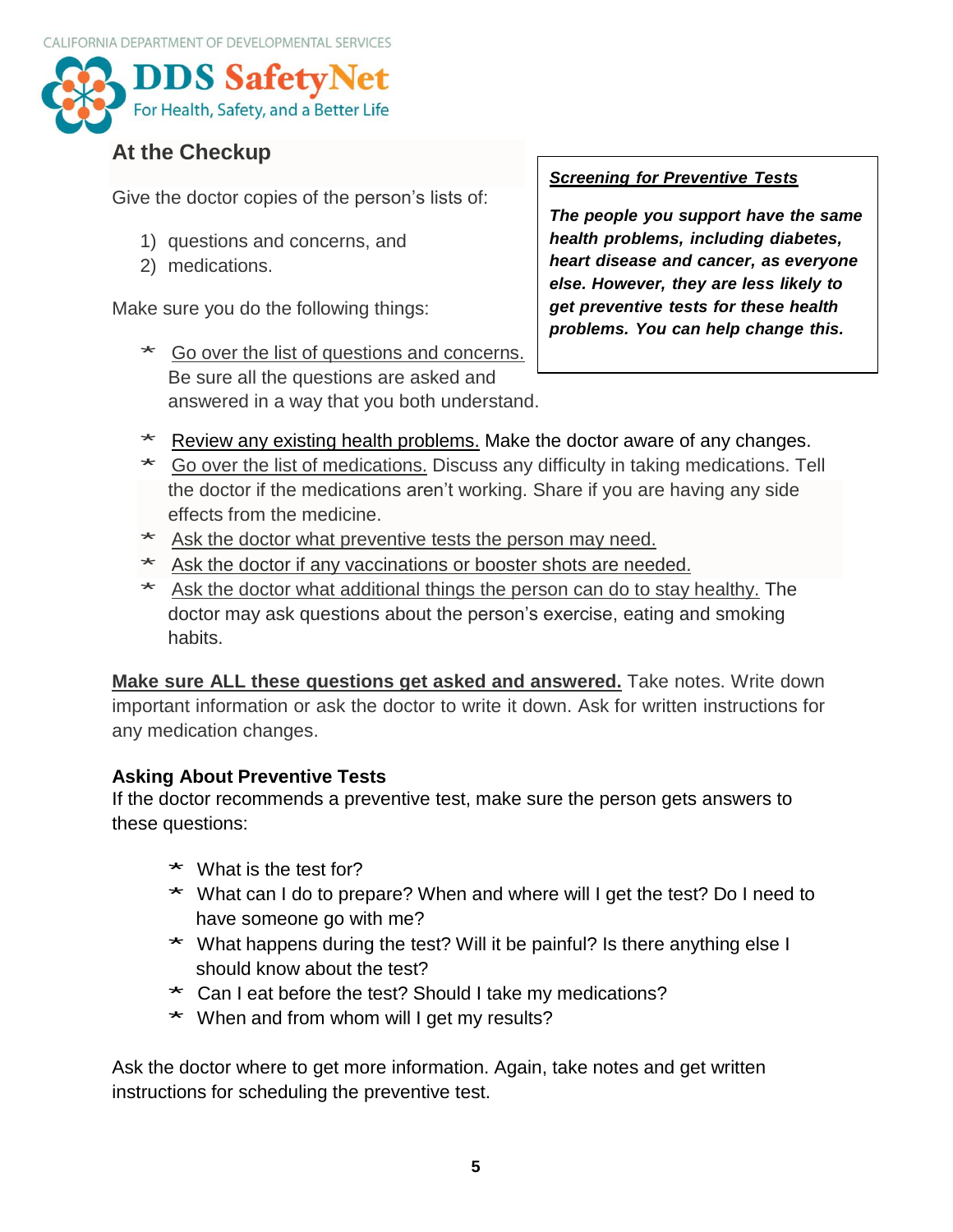

# **At the Checkup**

Give the doctor copies of the person's lists of:

- 1) questions and concerns, and
- 2) medications.

Make sure you do the following things:

\* Go over the list of questions and concerns. Be sure all the questions are asked and answered in a way that you both understand.

#### *Screening for Preventive Tests*

*The people you support have the same health problems, including diabetes, heart disease and cancer, as everyone else. However, they are less likely to get preventive tests for these health problems. You can help change this.*

- \* Review any existing health problems. Make the doctor aware of any changes.
- \* Go over the list of medications. Discuss any difficulty in taking medications. Tell the doctor if the medications aren't working. Share if you are having any side effects from the medicine.
- \* Ask the doctor what preventive tests the person may need.
- \* Ask the doctor if any vaccinations or booster shots are needed.
- \* Ask the doctor what additional things the person can do to stay healthy. The doctor may ask questions about the person's exercise, eating and smoking habits.

**Make sure ALL these questions get asked and answered.** Take notes. Write down important information or ask the doctor to write it down. Ask for written instructions for any medication changes.

## **Asking About Preventive Tests**

If the doctor recommends a preventive test, make sure the person gets answers to these questions:

- $*$  What is the test for?
- \* What can I do to prepare? When and where will I get the test? Do I need to have someone go with me?
- \* What happens during the test? Will it be painful? Is there anything else I should know about the test?
- \* Can I eat before the test? Should I take my medications?
- \* When and from whom will I get my results?

Ask the doctor where to get more information. Again, take notes and get written instructions for scheduling the preventive test.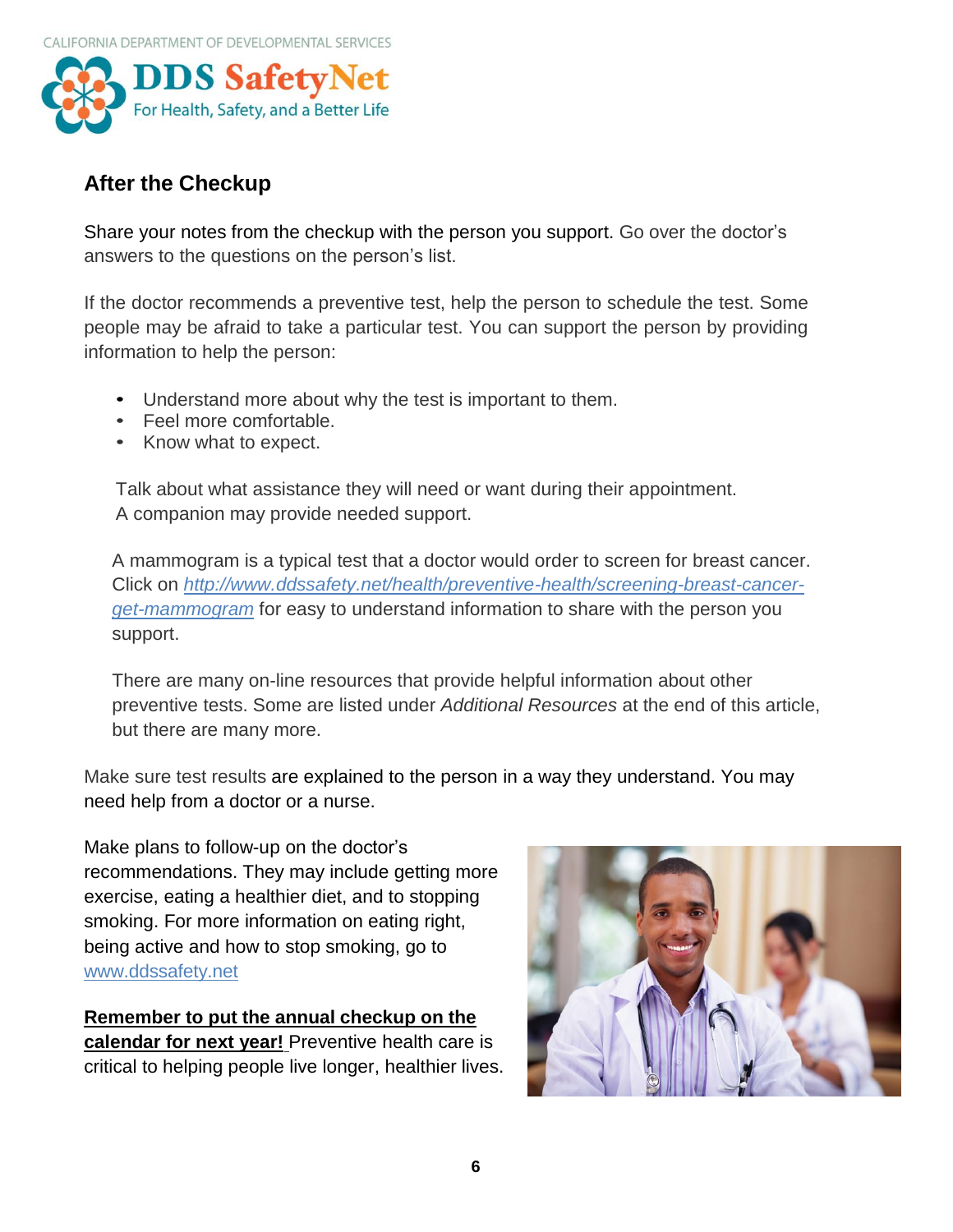

## **After the Checkup**

Share your notes from the checkup with the person you support. Go over the doctor's answers to the questions on the person's list.

If the doctor recommends a preventive test, help the person to schedule the test. Some people may be afraid to take a particular test. You can support the person by providing information to help the person:

- Understand more about why the test is important to them.
- Feel more comfortable.
- Know what to expect.

Talk about what assistance they will need or want during their appointment. A companion may provide needed support.

A mammogram is a typical test that a doctor would order to screen for breast cancer. Click on *[http://www.ddssafety.net/health/preventive-health/screening-breast-cancer](http://www.ddssafety.net/health/preventive-health/screening-breast-cancer-get-mammogram)[get-mammogram](http://www.ddssafety.net/health/preventive-health/screening-breast-cancer-get-mammogram)* for easy to understand information to share with the person you support.

There are many on-line resources that provide helpful information about other preventive tests. Some are listed under *Additional Resources* at the end of this article, but there are many more.

Make sure test results are explained to the person in a way they understand. You may need help from a doctor or a nurse.

Make plans to follow-up on the doctor's recommendations. They may include getting more exercise, eating a healthier diet, and to stopping smoking. For more information on eating right, being active and how to stop smoking, go to [www.ddssafety.net](http://www.ddssafety.net/)

**Remember to put the annual checkup on the calendar for next year!** Preventive health care is critical to helping people live longer, healthier lives.